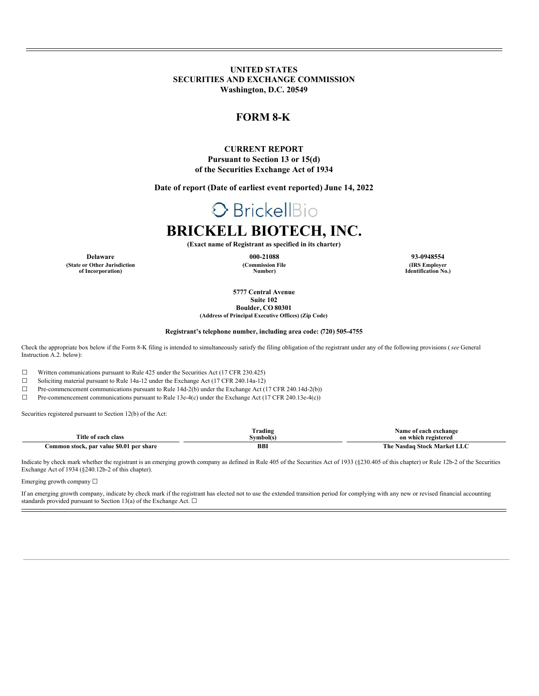**UNITED STATES SECURITIES AND EXCHANGE COMMISSION Washington, D.C. 20549**

### **FORM 8-K**

#### **CURRENT REPORT Pursuant to Section 13 or 15(d) of the Securities Exchange Act of 1934**

**Date of report (Date of earliest event reported) June 14, 2022**

# O BrickellBio

## **BRICKELL BIOTECH, INC.**

**(Exact name of Registrant as specified in its charter)**

**(Commission File Number)**

**Delaware 000-21088 93-0948554 (IRS Employer Identification No.)**

> **5777 Central Avenue Suite 102**

**Boulder, CO 80301 (Address of Principal Executive Offices) (Zip Code)**

#### **Registrant's telephone number, including area code: (720) 505-4755**

Check the appropriate box below if the Form 8-K filing is intended to simultaneously satisfy the filing obligation of the registrant under any of the following provisions (*see* General Instruction A.2. below):

☐ Written communications pursuant to Rule 425 under the Securities Act (17 CFR 230.425)

☐ Soliciting material pursuant to Rule 14a-12 under the Exchange Act (17 CFR 240.14a-12)

☐ Pre-commencement communications pursuant to Rule 14d-2(b) under the Exchange Act (17 CFR 240.14d-2(b))

☐ Pre-commencement communications pursuant to Rule 13e-4(c) under the Exchange Act (17 CFR 240.13e-4(c))

Securities registered pursuant to Section 12(b) of the Act:

**(State or Other Jurisdiction of Incorporation)**

|                                          | Trading          | Name<br>exchange<br>. each               |
|------------------------------------------|------------------|------------------------------------------|
| Title of<br>each class                   | <b>Symbol(s)</b> | on which registered                      |
| Common stock, par value \$0.01 per share | <b>BB</b>        | The<br>ЫC<br>.1 Stock Market -<br>Nasdao |

Indicate by check mark whether the registrant is an emerging growth company as defined in Rule 405 of the Securities Act of 1933 (§230.405 of this chapter) or Rule 12b-2 of the Securities Exchange Act of 1934 (§240.12b-2 of this chapter).

Emerging growth company ☐

If an emerging growth company, indicate by check mark if the registrant has elected not to use the extended transition period for complying with any new or revised financial accounting standards provided pursuant to Section 13(a) of the Exchange Act.  $\square$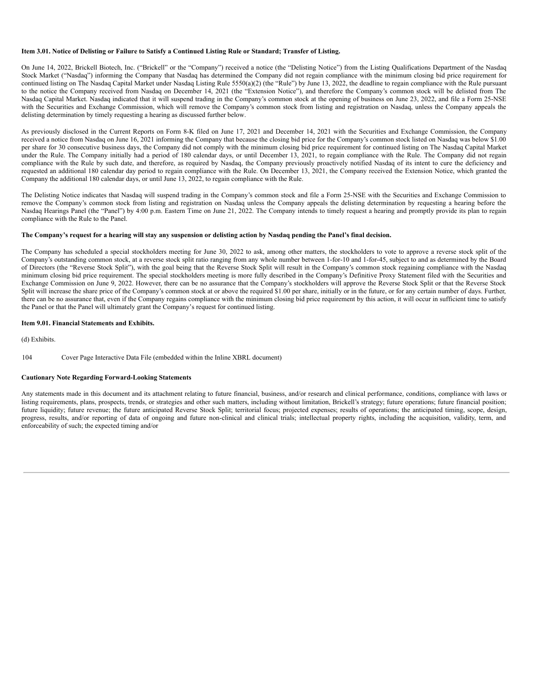#### Item 3.01. Notice of Delisting or Failure to Satisfy a Continued Listing Rule or Standard; Transfer of Listing.

On June 14, 2022, Brickell Biotech, Inc. ("Brickell" or the "Company") received a notice (the "Delisting Notice") from the Listing Qualifications Department of the Nasdaq Stock Market ("Nasdaq") informing the Company that Nasdaq has determined the Company did not regain compliance with the minimum closing bid price requirement for continued listing on The Nasdaq Capital Market under Nasdaq Listing Rule 5550(a)(2) (the "Rule") by June 13, 2022, the deadline to regain compliance with the Rule pursuant to the notice the Company received from Nasdaq on December 14, 2021 (the "Extension Notice"), and therefore the Company's common stock will be delisted from The Nasdaq Capital Market. Nasdaq indicated that it will suspend trading in the Company's common stock at the opening of business on June 23, 2022, and file a Form 25-NSE with the Securities and Exchange Commission, which will remove the Company's common stock from listing and registration on Nasdaq, unless the Company appeals the delisting determination by timely requesting a hearing as discussed further below.

As previously disclosed in the Current Reports on Form 8-K filed on June 17, 2021 and December 14, 2021 with the Securities and Exchange Commission, the Company received a notice from Nasdaq on June 16, 2021 informing the Company that because the closing bid price for the Company's common stock listed on Nasdaq was below \$1.00 per share for 30 consecutive business days, the Company did not comply with the minimum closing bid price requirement for continued listing on The Nasdaq Capital Market under the Rule. The Company initially had a period of 180 calendar days, or until December 13, 2021, to regain compliance with the Rule. The Company did not regain compliance with the Rule by such date, and therefore, as required by Nasdaq, the Company previously proactively notified Nasdaq of its intent to cure the deficiency and requested an additional 180 calendar day period to regain compliance with the Rule. On December 13, 2021, the Company received the Extension Notice, which granted the Company the additional 180 calendar days, or until June 13, 2022, to regain compliance with the Rule.

The Delisting Notice indicates that Nasdaq will suspend trading in the Company's common stock and file a Form 25-NSE with the Securities and Exchange Commission to remove the Company's common stock from listing and registration on Nasdaq unless the Company appeals the delisting determination by requesting a hearing before the Nasdaq Hearings Panel (the "Panel") by 4:00 p.m. Eastern Time on June 21, 2022. The Company intends to timely request a hearing and promptly provide its plan to regain compliance with the Rule to the Panel.

#### The Company's request for a hearing will stay any suspension or delisting action by Nasdaq pending the Panel's final decision.

The Company has scheduled a special stockholders meeting for June 30, 2022 to ask, among other matters, the stockholders to vote to approve a reverse stock split of the Company's outstanding common stock, at a reverse stock split ratio ranging from any whole number between 1-for-10 and 1-for-45, subject to and as determined by the Board of Directors (the "Reverse Stock Split"), with the goal being that the Reverse Stock Split will result in the Company's common stock regaining compliance with the Nasdaq minimum closing bid price requirement. The special stockholders meeting is more fully described in the Company's Definitive Proxy Statement filed with the Securities and Exchange Commission on June 9, 2022. However, there can be no assurance that the Company's stockholders will approve the Reverse Stock Split or that the Reverse Stock Split will increase the share price of the Company's common stock at or above the required \$1.00 per share, initially or in the future, or for any certain number of days. Further, there can be no assurance that, even if the Company regains compliance with the minimum closing bid price requirement by this action, it will occur in sufficient time to satisfy the Panel or that the Panel will ultimately grant the Company's request for continued listing.

#### **Item 9.01. Financial Statements and Exhibits.**

(d) Exhibits.

#### 104 Cover Page Interactive Data File (embedded within the Inline XBRL document)

#### **Cautionary Note Regarding Forward-Looking Statements**

Any statements made in this document and its attachment relating to future financial, business, and/or research and clinical performance, conditions, compliance with laws or listing requirements, plans, prospects, trends, or strategies and other such matters, including without limitation, Brickell's strategy; future operations; future financial position; future liquidity; future revenue; the future anticipated Reverse Stock Split; territorial focus; projected expenses; results of operations; the anticipated timing, scope, design, progress, results, and/or reporting of data of ongoing and future non-clinical and clinical trials; intellectual property rights, including the acquisition, validity, term, and enforceability of such; the expected timing and/or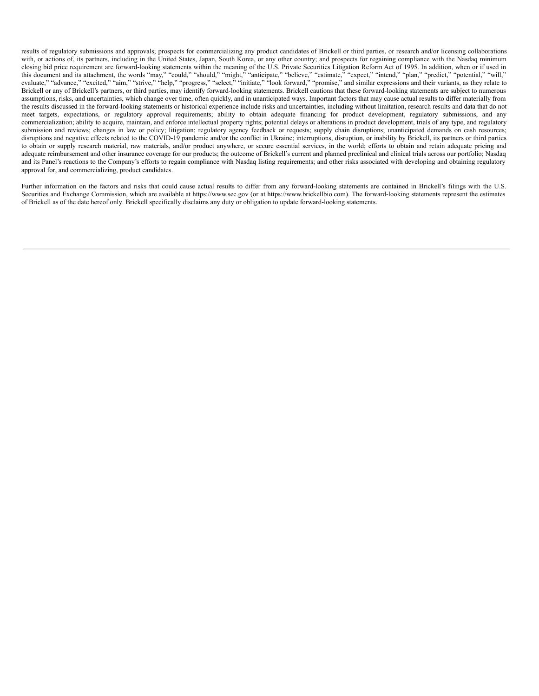results of regulatory submissions and approvals; prospects for commercializing any product candidates of Brickell or third parties, or research and/or licensing collaborations with, or actions of, its partners, including in the United States, Japan, South Korea, or any other country; and prospects for regaining compliance with the Nasdaq minimum closing bid price requirement are forward-looking statements within the meaning of the U.S. Private Securities Litigation Reform Act of 1995. In addition, when or if used in this document and its attachment, the words "may," "could," "should," "might," "anticipate," "believe," "estimate," "expect," "intend," "plan," "predict," "potential," "will," evaluate," "advance," "excited," "aim," "strive," "help," "progress," "select," "initiate," "look forward," "promise," and similar expressions and their variants, as they relate to Brickell or any of Brickell's partners, or third parties, may identify forward-looking statements. Brickell cautions that these forward-looking statements are subject to numerous assumptions, risks, and uncertainties, which change over time, often quickly, and in unanticipated ways. Important factors that may cause actual results to differ materially from the results discussed in the forward-looking statements or historical experience include risks and uncertainties, including without limitation, research results and data that do not meet targets, expectations, or regulatory approval requirements; ability to obtain adequate financing for product development, regulatory submissions, and any commercialization; ability to acquire, maintain, and enforce intellectual property rights; potential delays or alterations in product development, trials of any type, and regulatory submission and reviews; changes in law or policy; litigation; regulatory agency feedback or requests; supply chain disruptions; unanticipated demands on cash resources; disruptions and negative effects related to the COVID-19 pandemic and/or the conflict in Ukraine; interruptions, disruption, or inability by Brickell, its partners or third parties to obtain or supply research material, raw materials, and/or product anywhere, or secure essential services, in the world; efforts to obtain and retain adequate pricing and adequate reimbursement and other insurance coverage for our products; the outcome of Brickell's current and planned preclinical and clinical trials across our portfolio; Nasdaq and its Panel's reactions to the Company's efforts to regain compliance with Nasdaq listing requirements; and other risks associated with developing and obtaining regulatory approval for, and commercializing, product candidates.

Further information on the factors and risks that could cause actual results to differ from any forward-looking statements are contained in Brickell's filings with the U.S. Securities and Exchange Commission, which are available at https://www.sec.gov (or at https://www.brickellbio.com). The forward-looking statements represent the estimates of Brickell as of the date hereof only. Brickell specifically disclaims any duty or obligation to update forward-looking statements.